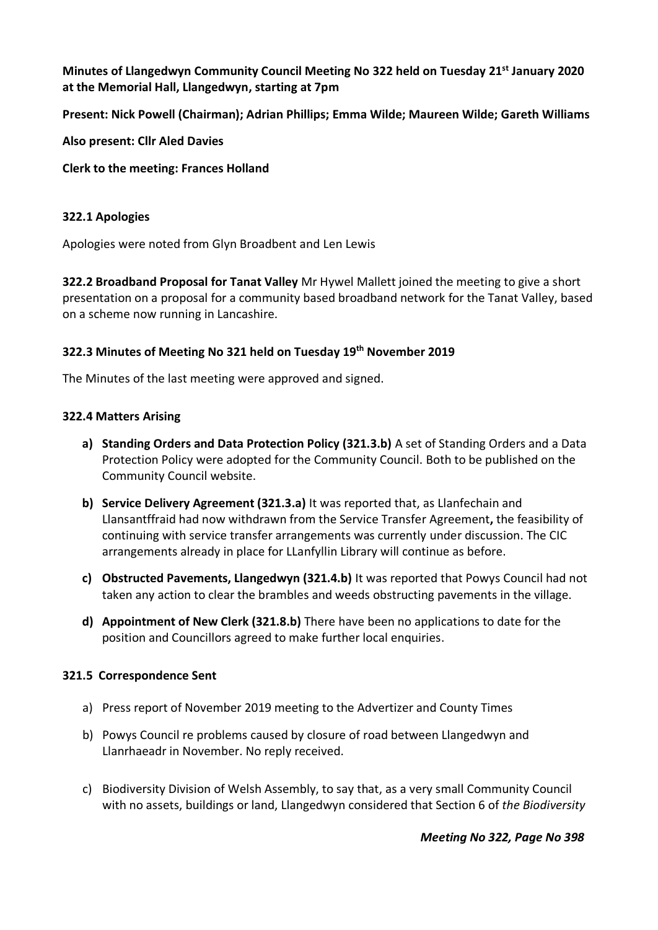**Minutes of Llangedwyn Community Council Meeting No 322 held on Tuesday 21st January 2020 at the Memorial Hall, Llangedwyn, starting at 7pm**

**Present: Nick Powell (Chairman); Adrian Phillips; Emma Wilde; Maureen Wilde; Gareth Williams**

**Also present: Cllr Aled Davies**

**Clerk to the meeting: Frances Holland**

## **322.1 Apologies**

Apologies were noted from Glyn Broadbent and Len Lewis

**322.2 Broadband Proposal for Tanat Valley** Mr Hywel Mallett joined the meeting to give a short presentation on a proposal for a community based broadband network for the Tanat Valley, based on a scheme now running in Lancashire.

### **322.3 Minutes of Meeting No 321 held on Tuesday 19th November 2019**

The Minutes of the last meeting were approved and signed.

#### **322.4 Matters Arising**

- **a) Standing Orders and Data Protection Policy (321.3.b)** A set of Standing Orders and a Data Protection Policy were adopted for the Community Council. Both to be published on the Community Council website.
- **b) Service Delivery Agreement (321.3.a)** It was reported that, as Llanfechain and Llansantffraid had now withdrawn from the Service Transfer Agreement**,** the feasibility of continuing with service transfer arrangements was currently under discussion. The CIC arrangements already in place for LLanfyllin Library will continue as before.
- **c) Obstructed Pavements, Llangedwyn (321.4.b)** It was reported that Powys Council had not taken any action to clear the brambles and weeds obstructing pavements in the village.
- **d) Appointment of New Clerk (321.8.b)** There have been no applications to date for the position and Councillors agreed to make further local enquiries.

# **321.5 Correspondence Sent**

- a) Press report of November 2019 meeting to the Advertizer and County Times
- b) Powys Council re problems caused by closure of road between Llangedwyn and Llanrhaeadr in November. No reply received.
- c) Biodiversity Division of Welsh Assembly, to say that, as a very small Community Council with no assets, buildings or land, Llangedwyn considered that Section 6 of *the Biodiversity*